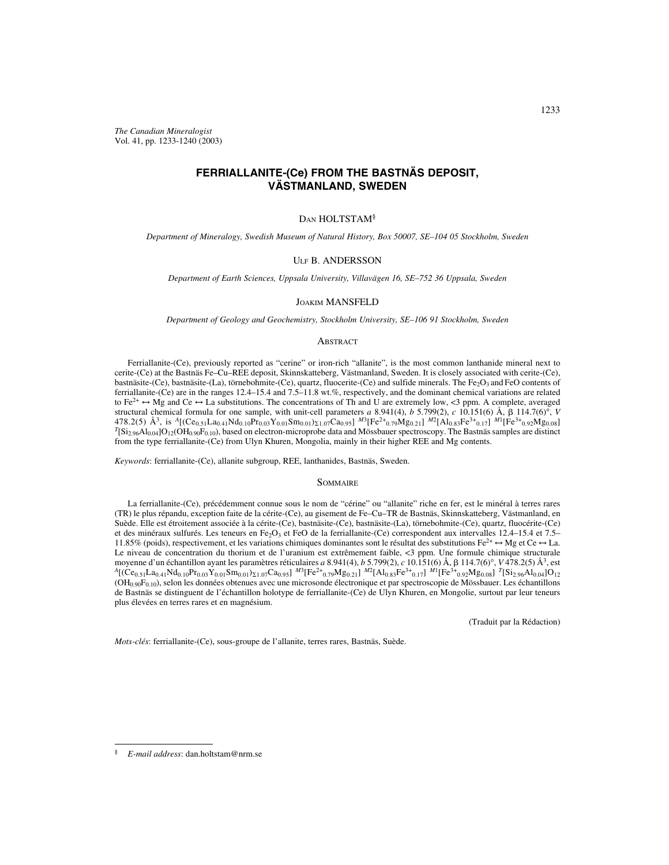*The Canadian Mineralogist* Vol. 41, pp. 1233-1240 (2003)

# **FERRIALLANITE-(Ce) FROM THE BASTNÄS DEPOSIT, VÄSTMANLAND, SWEDEN**

# DAN HOLTSTAM§

*Department of Mineralogy, Swedish Museum of Natural History, Box 50007, SE–104 05 Stockholm, Sweden*

# ULF B. ANDERSSON

*Department of Earth Sciences, Uppsala University, Villavägen 16, SE–752 36 Uppsala, Sweden*

#### JOAKIM MANSFELD

*Department of Geology and Geochemistry, Stockholm University, SE–106 91 Stockholm, Sweden*

## **ABSTRACT**

Ferriallanite-(Ce), previously reported as "cerine" or iron-rich "allanite", is the most common lanthanide mineral next to cerite-(Ce) at the Bastnäs Fe–Cu–REE deposit, Skinnskatteberg, Västmanland, Sweden. It is closely associated with cerite-(Ce), bastnäsite-(Ce), bastnäsite-(La), törnebohmite-(Ce), quartz, fluocerite-(Ce) and sulfide minerals. The  $Fe<sub>2</sub>O<sub>3</sub>$  and FeO contents of ferriallanite-(Ce) are in the ranges 12.4–15.4 and 7.5–11.8 wt.%, respectively, and the dominant chemical variations are related to Fe<sup>2+</sup>  $\leftrightarrow$  Mg and Ce  $\leftrightarrow$  La substitutions. The concentrations of Th and U are extremely low, <3 ppm. A complete, averaged structural chemical formula for one sample, with unit-cell parameters *a* 8.941(4), *b* 5.799(2), *c* 10.151(6) Å, 114.7(6)°, *V* 478.2(5) Å<sup>3</sup>, is <sup>A</sup>[(Ce<sub>0.51</sub>La<sub>0.41</sub>Nd<sub>0.10</sub>Pr<sub>0.03</sub>Y<sub>0.01</sub>Sm<sub>0.01</sub>)<sub>21.07</sub>Ca<sub>0.95</sub>] <sup>M3</sup>[Fe<sup>2+</sup>0.79Mg<sub>0.21</sub>] <sup>M2</sup>[Al<sub>0.83</sub>Fe<sup>3+</sup>0.17] <sup>M1</sup>[Fe<sup>3+</sup>0.92Mg<sub>0.08</sub>]<br><sup>T</sup>[Si<sub>2.96</sub>Al<sub>0.04</sub>]O<sub>12</sub>(OH<sub>0.90</sub>F<sub>0.10</sub>), based on elec from the type ferriallanite-(Ce) from Ulyn Khuren, Mongolia, mainly in their higher REE and Mg contents.

*Keywords*: ferriallanite-(Ce), allanite subgroup, REE, lanthanides, Bastnäs, Sweden.

## **SOMMAIRE**

La ferriallanite-(Ce), précédemment connue sous le nom de "cérine" ou "allanite" riche en fer, est le minéral à terres rares (TR) le plus répandu, exception faite de la cérite-(Ce), au gisement de Fe–Cu–TR de Bastnäs, Skinnskatteberg, Västmanland, en Suède. Elle est étroitement associée à la cérite-(Ce), bastnäsite-(Ce), bastnäsite-(La), törnebohmite-(Ce), quartz, fluocérite-(Ce) et des minéraux sulfurés. Les teneurs en Fe<sub>2</sub>O<sub>3</sub> et FeO de la ferriallanite-(Ce) correspondent aux intervalles 12.4–15.4 et 7.5– 11.85% (poids), respectivement, et les variations chimiques dominantes sont le résultat des substitutions  $Fe^{2+} \leftrightarrow Mg$  et Ce  $\leftrightarrow$  La. Le niveau de concentration du thorium et de l'uranium est extrêmement faible, <3 ppm. Une formule chimique structurale moyenne d'un échantillon ayant les paramètres réticulaires *a* 8.941(4), *b* 5.799(2), *c* 10.151(6) Å, 114.7(6)°, *V* 478.2(5) Å3, est *<sup>A</sup>*[(Ce0.51La0.41Nd0.10Pr0.03Y0.01Sm0.01)-1.07Ca0.95] *<sup>M</sup>*3[Fe2+0.79Mg0.21] *<sup>M</sup>*2[Al0.83Fe3+0.17] *<sup>M</sup>*1[Fe3+0.92Mg0.08] *<sup>T</sup>*[Si2.96Al0.04]O12  $(OH_{0.90}F_{0.10})$ , selon les données obtenues avec une microsonde électronique et par spectroscopie de Mössbauer. Les échantillons de Bastnäs se distinguent de l'échantillon holotype de ferriallanite-(Ce) de Ulyn Khuren, en Mongolie, surtout par leur teneurs plus élevées en terres rares et en magnésium.

(Traduit par la Rédaction)

*Mots-clés*: ferriallanite-(Ce), sous-groupe de l'allanite, terres rares, Bastnäs, Suède.

<sup>§</sup> *E-mail address*: dan.holtstam@nrm.se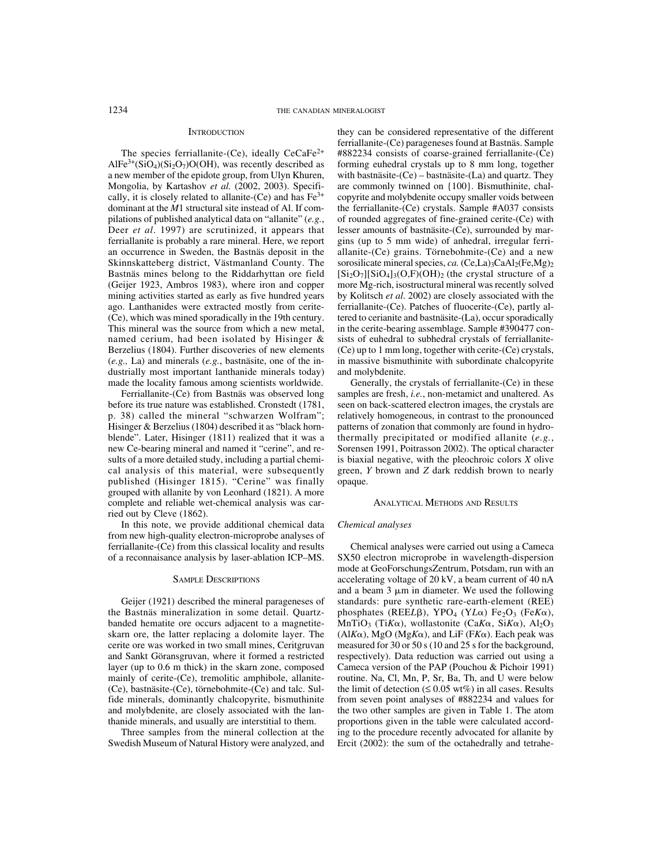# **INTRODUCTION**

The species ferriallanite-(Ce), ideally  $CeCaFe<sup>2+</sup>$  $AIFe^{3+}(SiO<sub>4</sub>)(Si<sub>2</sub>O<sub>7</sub>)O(OH)$ , was recently described as a new member of the epidote group, from Ulyn Khuren, Mongolia, by Kartashov *et al.* (2002, 2003). Specifically, it is closely related to allanite-(Ce) and has  $Fe<sup>3+</sup>$ dominant at the *M*1 structural site instead of Al. If compilations of published analytical data on "allanite" (*e.g.*, Deer *et al*. 1997) are scrutinized, it appears that ferriallanite is probably a rare mineral. Here, we report an occurrence in Sweden, the Bastnäs deposit in the Skinnskatteberg district, Västmanland County. The Bastnäs mines belong to the Riddarhyttan ore field (Geijer 1923, Ambros 1983), where iron and copper mining activities started as early as five hundred years ago. Lanthanides were extracted mostly from cerite- (Ce), which was mined sporadically in the 19th century. This mineral was the source from which a new metal, named cerium, had been isolated by Hisinger & Berzelius (1804). Further discoveries of new elements (*e.g.,* La) and minerals (*e.g.*, bastnäsite, one of the industrially most important lanthanide minerals today) made the locality famous among scientists worldwide.

Ferriallanite-(Ce) from Bastnäs was observed long before its true nature was established. Cronstedt (1781, p. 38) called the mineral "schwarzen Wolfram"; Hisinger & Berzelius (1804) described it as "black hornblende". Later, Hisinger (1811) realized that it was a new Ce-bearing mineral and named it "cerine", and results of a more detailed study, including a partial chemical analysis of this material, were subsequently published (Hisinger 1815). "Cerine" was finally grouped with allanite by von Leonhard (1821). A more complete and reliable wet-chemical analysis was carried out by Cleve (1862).

In this note, we provide additional chemical data from new high-quality electron-microprobe analyses of ferriallanite-(Ce) from this classical locality and results of a reconnaisance analysis by laser-ablation ICP–MS.

### SAMPLE DESCRIPTIONS

Geijer (1921) described the mineral parageneses of the Bastnäs mineralization in some detail. Quartzbanded hematite ore occurs adjacent to a magnetiteskarn ore, the latter replacing a dolomite layer. The cerite ore was worked in two small mines, Ceritgruvan and Sankt Göransgruvan, where it formed a restricted layer (up to 0.6 m thick) in the skarn zone, composed mainly of cerite-(Ce), tremolitic amphibole, allanite- (Ce), bastnäsite-(Ce), törnebohmite-(Ce) and talc. Sulfide minerals, dominantly chalcopyrite, bismuthinite and molybdenite, are closely associated with the lanthanide minerals, and usually are interstitial to them.

Three samples from the mineral collection at the Swedish Museum of Natural History were analyzed, and they can be considered representative of the different ferriallanite-(Ce) parageneses found at Bastnäs. Sample #882234 consists of coarse-grained ferriallanite-(Ce) forming euhedral crystals up to 8 mm long, together with bastnäsite- $(Ce)$  – bastnäsite- $(La)$  and quartz. They are commonly twinned on {100}. Bismuthinite, chalcopyrite and molybdenite occupy smaller voids between the ferriallanite-(Ce) crystals. Sample #A037 consists of rounded aggregates of fine-grained cerite-(Ce) with lesser amounts of bastnäsite-(Ce), surrounded by margins (up to 5 mm wide) of anhedral, irregular ferriallanite-(Ce) grains. Törnebohmite-(Ce) and a new sorosilicate mineral species, *ca.* (Ce,La)<sub>3</sub>CaAl<sub>2</sub>(Fe,Mg)<sub>2</sub>  $[Si_2O_7][SiO_4]_3(O,F)$  (OH)<sub>2</sub> (the crystal structure of a more Mg-rich, isostructural mineral was recently solved by Kolitsch *et al*. 2002) are closely associated with the ferriallanite-(Ce). Patches of fluocerite-(Ce), partly altered to cerianite and bastnäsite-(La), occur sporadically in the cerite-bearing assemblage. Sample #390477 consists of euhedral to subhedral crystals of ferriallanite- (Ce) up to 1 mm long, together with cerite-(Ce) crystals, in massive bismuthinite with subordinate chalcopyrite and molybdenite.

Generally, the crystals of ferriallanite-(Ce) in these samples are fresh, *i.e.*, non-metamict and unaltered. As seen on back-scattered electron images, the crystals are relatively homogeneous, in contrast to the pronounced patterns of zonation that commonly are found in hydrothermally precipitated or modified allanite (*e.g.*, Sorensen 1991, Poitrasson 2002). The optical character is biaxial negative, with the pleochroic colors *X* olive green, *Y* brown and *Z* dark reddish brown to nearly opaque.

#### ANALYTICAL METHODS AND RESULTS

# *Chemical analyses*

Chemical analyses were carried out using a Cameca SX50 electron microprobe in wavelength-dispersion mode at GeoForschungsZentrum, Potsdam, run with an accelerating voltage of 20 kV, a beam current of 40 nA and a beam  $3 \mu m$  in diameter. We used the following standards: pure synthetic rare-earth-element (REE) phosphates (REEL $\beta$ ), YPO<sub>4</sub> (YL $\alpha$ ) Fe<sub>2</sub>O<sub>3</sub> (Fe $K\alpha$ ),  $MnTiO<sub>3</sub>$  (Ti $K\alpha$ ), wollastonite (Ca $K\alpha$ , Si $K\alpha$ ), Al<sub>2</sub>O<sub>3</sub>  $(AI\mathit{K}\alpha)$ , MgO (Mg $\mathit{K}\alpha$ ), and LiF (F $\mathit{K}\alpha$ ). Each peak was measured for 30 or 50 s (10 and 25 s for the background, respectively). Data reduction was carried out using a Cameca version of the PAP (Pouchou & Pichoir 1991) routine. Na, Cl, Mn, P, Sr, Ba, Th, and U were below the limit of detection  $( \leq 0.05 \text{ wt\%})$  in all cases. Results from seven point analyses of #882234 and values for the two other samples are given in Table 1. The atom proportions given in the table were calculated according to the procedure recently advocated for allanite by Ercit (2002): the sum of the octahedrally and tetrahe-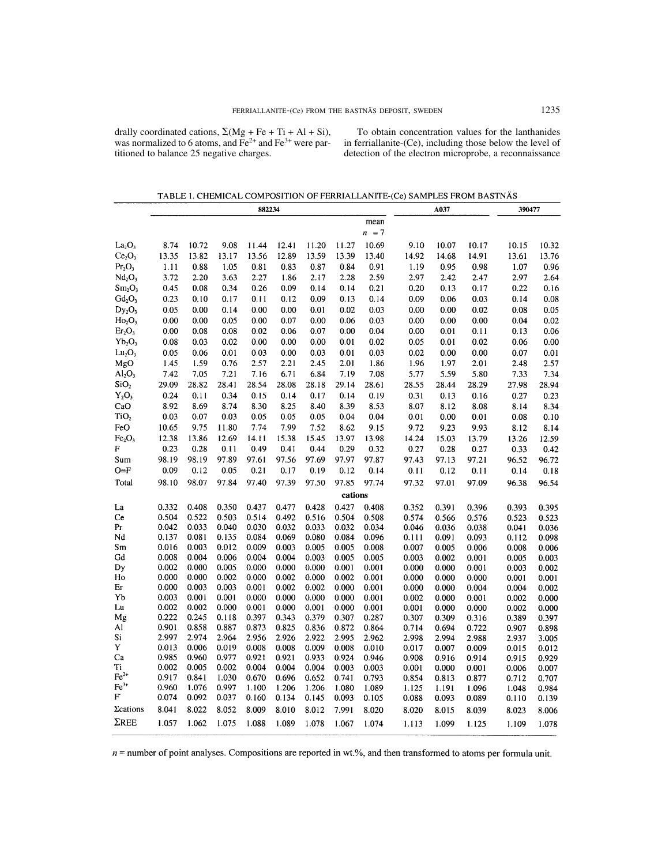drally coordinated cations,  $\Sigma(Mg + Fe + Ti + Al + Si)$ , was normalized to 6 atoms, and  $\overline{Fe^{2+}}$  and  $\overline{Fe^{3+}}$  were partitioned to balance 25 negative charges.

To obtain concentration values for the lanthanides in ferriallanite-(Ce), including those below the level of detection of the electron microprobe, a reconnaissance

TABLE 1. CHEMICAL COMPOSITION OF FERRIALLANITE-(Ce) SAMPLES FROM BASTNÄS

|                                     | 882234         |                |                |                |                |                | A037           |                |                | 390477         |                |                |                |
|-------------------------------------|----------------|----------------|----------------|----------------|----------------|----------------|----------------|----------------|----------------|----------------|----------------|----------------|----------------|
|                                     |                |                |                |                |                |                |                | mean           |                |                |                |                |                |
|                                     |                |                |                |                |                |                |                | $n = 7$        |                |                |                |                |                |
| La <sub>2</sub> O <sub>3</sub>      | 8.74           | 10.72          | 9.08           | 11.44          | 12.41          | 11.20          | 11.27          | 10.69          | 9.10           | 10.07          | 10.17          | 10.15          | 10.32          |
| Ce <sub>2</sub> O <sub>3</sub>      | 13.35          | 13.82          | 13.17          | 13.56          | 12.89          | 13.59          | 13.39          | 13.40          | 14.92          | 14.68          | 14.91          | 13.61          | 13.76          |
| Pr <sub>2</sub> O <sub>3</sub>      | 1.11           | 0.88           | 1.05           | 0.81           | 0.83           | 0.87           | 0.84           | 0.91           | 1.19           | 0.95           | 0.98           | 1.07           | 0.96           |
| Nd <sub>2</sub> O <sub>3</sub>      | 3.72           | 2.20           | 3.63           | 2.27           | 1.86           | 2.17           | 2.28           | 2.59           | 2.97           | 2.42           | 2.47           | 2.97           | 2.64           |
| Sm <sub>2</sub> O <sub>3</sub>      | 0.45           | 0.08           | 0.34           | 0.26           | 0.09           | 0.14           | 0.14           | 0.21           | 0.20           | 0.13           | 0.17           | 0.22           | 0.16           |
| $Gd_2O_3$                           | 0.23           | 0.10           | 0.17           | 0.11           | 0.12           | 0.09           | 0.13           | 0.14           | 0.09           | 0.06           | 0.03           | 0.14           | 0.08           |
| $Dy_2O_3$                           | 0.05           | 0.00           | 0.14           | 0.00           | 0.00           | 0.01           | 0.02           | 0.03           | 0.00           | 0.00           | 0.02           | 0.08           | 0.05           |
| $Ho_2O_3$                           | 0.00           | 0.00           | 0.05           | 0.00           | 0.07           | 0.00           | 0.06           | 0.03           | 0.00           | 0.00           | 0.00           | 0.04           | 0.02           |
| Er <sub>2</sub> O <sub>3</sub>      | 0.00           | 0.08           | 0.08           | 0.02           | 0.06           | 0.07           | 0.00           | 0.04           | 0.00           | 0.01           | 0.11           | 0.13           | 0.06           |
| $Yb_2O_3$                           | 0.08           | 0.03           | 0.02           | 0.00           | 0.00           | 0.00           | 0.01           | 0.02           | 0.05           | 0.01           | 0.02           | 0.06           | 0.00           |
| Lu <sub>2</sub> O <sub>3</sub>      | 0.05           | 0.06           | 0.01           | 0.03           | 0.00           | 0.03           | 0.01           | 0.03           | 0.02           | 0.00           | 0.00           | 0.07           | 0.01           |
| MgO                                 | 1.45           | 1.59           | 0.76           | 2.57           | 2.21           | 2.45           | 2.01           | 1.86           | 1.96           | 1.97           | 2.01           | 2.48           | 2.57           |
| $\text{Al}_2\text{O}_3$             | 7.42           | 7.05           | 7.21           | 7.16           | 6.71           | 6.84           | 7.19           | 7.08           | 5.77           | 5.59           | 5.80           | 7.33           | 7.34           |
| SiO <sub>2</sub>                    | 29.09          | 28.82          | 28.41          | 28.54          | 28.08          | 28.18          | 29.14          | 28.61          | 28.55          | 28.44          | 28.29          | 27.98          | 28.94          |
| $Y_2O_3$                            | 0.24           | 0.11           | 0.34           | 0.15           | 0.14           | 0.17           | 0.14           | 0.19           | 0.31           | 0.13           | 0.16           | 0.27           | 0.23           |
| CaO                                 | 8.92           | 8.69           | 8.74           | 8.30           | 8.25           | 8.40           | 8.39           | 8.53           | 8.07           |                | 8.08           | 8.14           |                |
| TiO <sub>2</sub>                    | 0.03           | 0.07           | 0.03           | 0.05           | 0.05           | 0.05           | 0.04           | 0.04           |                | 8.12           |                |                | 8.34           |
|                                     |                | 9.75           | 11.80          | 7.74           |                | 7.52           | 8.62           |                | 0.01           | 0.00           | 0.01           | 0.08           | 0.10           |
| FeO                                 | 10.65          |                |                |                | 7.99           |                |                | 9.15           | 9.72           | 9.23           | 9.93           | 8.12           | 8.14           |
| Fe <sub>2</sub> O <sub>3</sub><br>F | 12.38          | 13.86          | 12.69          | 14.11          | 15.38          | 15.45          | 13.97          | 13.98          | 14.24          | 15.03          | 13.79          | 13.26          | 12.59          |
|                                     | 0.23           | 0.28           | 0.11           | 0.49           | 0.41           | 0.44           | 0.29           | 0.32           | 0.27           | 0.28           | 0.27           | 0.33           | 0.42           |
| Sum                                 | 98.19          | 98.19          | 97.89          | 97.61          | 97.56          | 97.69          | 97.97          | 97.87          | 97.43          | 97.13          | 97.21          | 96.52          | 96.72          |
| $O = F$                             | 0.09           | 0.12           | 0.05           | 0.21           | 0.17           | 0.19           | 0.12           | 0.14           | 0.11           | 0.12           | 0.11           | 0.14           | 0.18           |
| Total                               | 98.10          | 98.07          | 97.84          | 97.40          | 97.39          | 97.50          | 97.85          | 97.74          | 97.32          | 97.01          | 97.09          | 96.38          | 96.54          |
|                                     |                |                |                |                |                |                | cations        |                |                |                |                |                |                |
| La                                  | 0.332          | 0.408          | 0.350          | 0.437          | 0.477          | 0.428          | 0.427          | 0.408          | 0.352          | 0.391          | 0.396          | 0.393          | 0.395          |
| Ce                                  | 0.504          | 0.522          | 0.503          | 0.514          | 0.492          | 0.516          | 0.504          | 0.508          | 0.574          | 0.566          | 0.576          | 0.523          | 0.523          |
| Pr                                  | 0.042          | 0.033          | 0.040          | 0.030          | 0.032          | 0.033          | 0.032          | 0.034          | 0.046          | 0.036          | 0.038          | 0.041          | 0.036          |
| Nd                                  | 0.137          | 0.081          | 0.135          | 0.084          | 0.069          | 0.080          | 0.084          | 0.096          | 0.111          | 0.091          | 0.093          | 0.112          | 0.098          |
| Sm                                  | 0.016          | 0.003          | 0.012          | 0.009          | 0.003          | 0.005          | 0.005          | 0.008          | 0.007          | 0.005          | 0.006          | 0.008          | 0.006          |
| Gd                                  | 0.008          | 0.004          | 0.006          | 0.004          | 0.004          | 0.003          | 0.005          | 0.005          | 0.003          | 0.002          | 0.001          | 0.005          | 0.003          |
| Dy                                  | 0.002          | 0.000          | 0.005          | 0.000          | 0.000          | 0.000          | 0.001          | 0.001          | 0.000          | 0.000          | 0.001          | 0.003          | 0.002          |
| Ho                                  | 0.000          | 0.000          | 0.002          | 0.000          | 0.002          | 0.000          | 0.002          | 0.001          | 0.000          | 0.000          | 0.000          | 0.001          | 0.001          |
| Er                                  | 0.000          | 0.003          | 0.003          | 0.001          | 0.002          | 0.002          | 0.000          | 0.001          | 0.000          | 0.000          | 0.004          | 0.004          | 0.002          |
| Yb                                  | 0.003          | 0.001          | 0.001          | 0.000          | 0.000          | 0.000          | 0.000          | 0.001          | 0.002          | 0.000          | 0.001          | 0.002          | 0.000          |
| Lu                                  | 0.002<br>0.222 | 0.002<br>0.245 | 0.000          | 0.001<br>0.397 | 0.000<br>0.343 | 0.001          | 0.000          | 0.001          | 0.001          | 0.000          | 0.000          | 0.002          | 0.000          |
| Mg<br>Al                            | 0.901          | 0.858          | 0.118<br>0.887 | 0.873          | 0.825          | 0.379<br>0.836 | 0.307<br>0.872 | 0.287<br>0.864 | 0.307<br>0.714 | 0.309<br>0.694 | 0.316          | 0.389          | 0.397          |
| Si                                  | 2.997          | 2.974          | 2.964          | 2.956          | 2.926          | 2.922          | 2.995          | 2.962          | 2.998          | 2.994          | 0.722<br>2.988 | 0.907<br>2.937 | 0.898<br>3.005 |
| Y                                   | 0.013          | 0.006          | 0.019          | 0.008          | 0.008          | 0.009          | 0.008          | 0.010          | 0.017          | 0.007          | 0.009          | 0.015          | 0.012          |
| Ca                                  | 0.985          | 0.960          | 0.977          | 0.921          | 0.921          | 0.933          | 0.924          | 0.946          | 0.908          | 0.916          | 0.914          | 0.915          | 0.929          |
| Ti                                  | 0.002          | 0.005          | 0.002          | 0.004          | 0.004          | 0.004          | 0.003          | 0.003          | 0.001          | 0.000          | 0.001          | 0.006          | 0.007          |
| $Fe2+$                              | 0.917          | 0.841          | 1.030          | 0.670          | 0.696          | 0.652          | 0.741          | 0.793          | 0.854          | 0.813          | 0.877          | 0.712          | 0.707          |
| $Fe3+$                              | 0.960          | 1.076          | 0.997          | 1.100          | 1.206          | 1.206          | 1.080          | 1.089          | 1.125          | 1.191          | 1.096          | 1.048          | 0.984          |
| F                                   | 0.074          | 0.092          | 0.037          | 0.160          | 0.134          | 0.145          | 0.093          | 0.105          | 0.088          | 0.093          | 0.089          | 0.110          | 0.139          |
| $\sum$ cations                      | 8.041          | 8.022          | 8.052          | 8.009          | 8.010          | 8.012          | 7.991          | 8.020          | 8.020          | 8.015          | 8.039          | 8.023          | 8.006          |
|                                     |                |                |                |                |                |                |                |                |                |                |                |                |                |
| $\Sigma$ REE                        | 1.057          | 1.062          | 1.075          | 1.088          | 1.089          | 1.078          | 1.067          | 1.074          | 1.113          | 1.099          | 1.125          | 1.109          | 1.078          |

 $n$  = number of point analyses. Compositions are reported in wt.%, and then transformed to atoms per formula unit.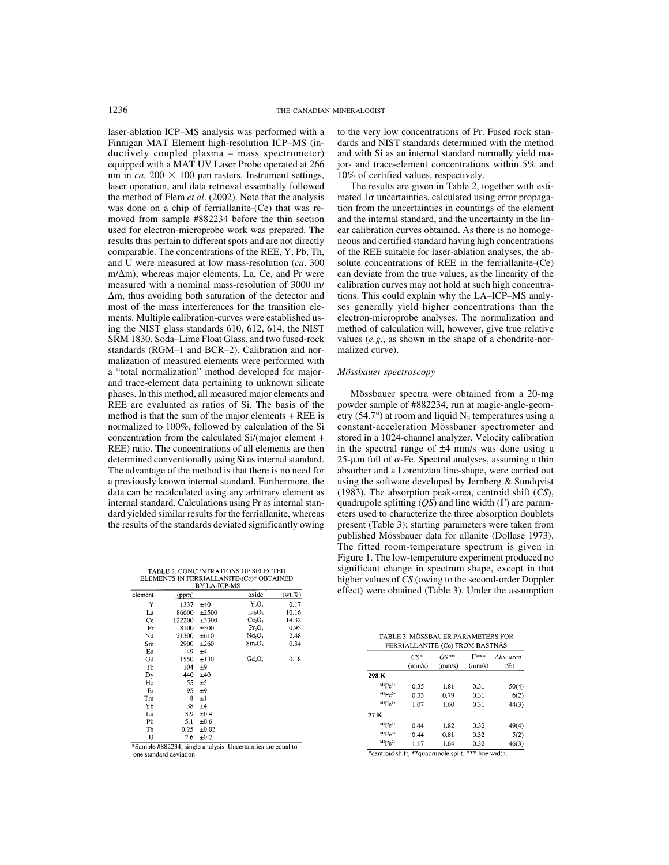laser-ablation ICP–MS analysis was performed with a Finnigan MAT Element high-resolution ICP–MS (inductively coupled plasma – mass spectrometer) equipped with a MAT UV Laser Probe operated at 266 nm in *ca*. 200  $\times$  100  $\mu$ m rasters. Instrument settings, laser operation, and data retrieval essentially followed the method of Flem *et al*. (2002). Note that the analysis was done on a chip of ferriallanite-(Ce) that was removed from sample #882234 before the thin section used for electron-microprobe work was prepared. The results thus pertain to different spots and are not directly comparable. The concentrations of the REE, Y, Pb, Th, and U were measured at low mass-resolution (*ca*. 300  $m/\Delta m$ ), whereas major elements, La, Ce, and Pr were measured with a nominal mass-resolution of 3000 m/  $\Delta$ m, thus avoiding both saturation of the detector and most of the mass interferences for the transition elements. Multiple calibration-curves were established using the NIST glass standards 610, 612, 614, the NIST SRM 1830, Soda–Lime Float Glass, and two fused-rock standards (RGM–1 and BCR–2). Calibration and normalization of measured elements were performed with a "total normalization" method developed for majorand trace-element data pertaining to unknown silicate phases. In this method, all measured major elements and REE are evaluated as ratios of Si. The basis of the method is that the sum of the major elements + REE is normalized to 100%, followed by calculation of the Si concentration from the calculated Si/(major element + REE) ratio. The concentrations of all elements are then determined conventionally using Si as internal standard. The advantage of the method is that there is no need for a previously known internal standard. Furthermore, the data can be recalculated using any arbitrary element as internal standard. Calculations using Pr as internal standard yielded similar results for the ferriallanite, whereas the results of the standards deviated significantly owing

TABLE 2. CONCENTRATIONS OF SELECTED<br>ELEMENTS IN FERRIALLANITE-(Ce)\* OBTAINED

| <b>BY LA-ICP-MS</b> |        |            |                 |           |  |  |  |
|---------------------|--------|------------|-----------------|-----------|--|--|--|
| element             | (ppm)  |            | oxide           | $(wt.\%)$ |  |  |  |
| Y                   | 1337   | ±40        | $Y_2O_3$        | 0.17      |  |  |  |
| La                  | 86600  | ±2500      | La <sub>0</sub> | 10.16     |  |  |  |
| Ce                  | 122200 | ±3300      | Ce, O,          | 14.32     |  |  |  |
| Pr                  | 8100   | ±300       | $Pr_2O_3$       | 0.95      |  |  |  |
| Nd                  | 21300  | ±610       | Nd, O,          | 2.48      |  |  |  |
| Sm                  | 2900   | ±260       | Sm, O,          | 0.34      |  |  |  |
| Eu                  | 49     | ±4         |                 |           |  |  |  |
| Gd                  | 1550   | ±130       | $Gd_2O_3$       | 0.18      |  |  |  |
| Tb                  | 104    | ±9         |                 |           |  |  |  |
| Dy                  | 440    | ±40        |                 |           |  |  |  |
| Ho                  | 55     | ±5         |                 |           |  |  |  |
| Er                  | 95     | ±9         |                 |           |  |  |  |
| Tm                  | 8      | $\pm 1$    |                 |           |  |  |  |
| Yb                  | 38     | ±4         |                 |           |  |  |  |
| Lu                  | 3.9    | $\pm 0.4$  |                 |           |  |  |  |
| Pb                  | 5.1    | ±0.6       |                 |           |  |  |  |
| Th                  | 0.25   | $\pm 0.03$ |                 |           |  |  |  |
| U                   | 2.6    | ±0.2       |                 |           |  |  |  |

\*Sample #882234, single analysis. Uncertainties are equal to one standard deviation.

to the very low concentrations of Pr. Fused rock standards and NIST standards determined with the method and with Si as an internal standard normally yield major- and trace-element concentrations within 5% and 10% of certified values, respectively.

The results are given in Table 2, together with estimated  $1\sigma$  uncertainties, calculated using error propagation from the uncertainties in countings of the element and the internal standard, and the uncertainty in the linear calibration curves obtained. As there is no homogeneous and certified standard having high concentrations of the REE suitable for laser-ablation analyses, the absolute concentrations of REE in the ferriallanite-(Ce) can deviate from the true values, as the linearity of the calibration curves may not hold at such high concentrations. This could explain why the LA–ICP–MS analyses generally yield higher concentrations than the electron-microprobe analyses. The normalization and method of calculation will, however, give true relative values (*e.g.*, as shown in the shape of a chondrite-normalized curve).

# *Mössbauer spectroscopy*

Mössbauer spectra were obtained from a 20-mg powder sample of #882234, run at magic-angle-geometry (54.7°) at room and liquid  $N_2$  temperatures using a constant-acceleration Mössbauer spectrometer and stored in a 1024-channel analyzer. Velocity calibration in the spectral range of ±4 mm/s was done using a  $25$ - $\mu$ m foil of  $\alpha$ -Fe. Spectral analyses, assuming a thin absorber and a Lorentzian line-shape, were carried out using the software developed by Jernberg & Sundqvist (1983). The absorption peak-area, centroid shift (*CS*), quadrupole splitting  $(OS)$  and line width  $(Γ)$  are parameters used to characterize the three absorption doublets present (Table 3); starting parameters were taken from published Mössbauer data for allanite (Dollase 1973). The fitted room-temperature spectrum is given in Figure 1. The low-temperature experiment produced no significant change in spectrum shape, except in that higher values of *CS* (owing to the second-order Doppler effect) were obtained (Table 3). Under the assumption

| TABLE 3. MÖSSBAUER PARAMETERS FOR |  |                                                                                                                                                                                                                                                                                                                                                                                                                                     |  |
|-----------------------------------|--|-------------------------------------------------------------------------------------------------------------------------------------------------------------------------------------------------------------------------------------------------------------------------------------------------------------------------------------------------------------------------------------------------------------------------------------|--|
|                                   |  | $\overline{m}$ $\overline{n}$ $\overline{n}$ $\overline{n}$ $\overline{n}$ $\overline{n}$ $\overline{n}$ $\overline{n}$ $\overline{n}$ $\overline{n}$ $\overline{n}$ $\overline{n}$ $\overline{n}$ $\overline{n}$ $\overline{n}$ $\overline{n}$ $\overline{n}$ $\overline{n}$ $\overline{n}$ $\overline{n}$ $\overline{n}$ $\overline{n}$ $\overline{n}$ $\overline{n}$ $\overline{n}$ $\overline{n}$ $\overline{n}$ $\overline{n}$ |  |

|                      | $CS*$<br>(mm/s) | $OS^{**}$<br>(mm/s) | <b>T***</b><br>(mm/s) | Abs. area<br>(%) |
|----------------------|-----------------|---------------------|-----------------------|------------------|
| 298 K                |                 |                     |                       |                  |
| $M Ee^{3+}$          | 0.35            | 1.81                | 0.31                  | 50(4)            |
| $^{M2}Fe^{3+}$       | 0.33            | 0.79                | 0.31                  | 6(2)             |
| $^{M3}Fe^{2+}$       | 1.07            | 1.60                | 0.31                  | 44(3)            |
| 77 K                 |                 |                     |                       |                  |
| ${}^{\rm M1}Fe^{3+}$ | 0.44            | 1.82                | 0.32                  | 49(4)            |
| $M^2Fe^{3+}$         | 0.44            | 0.81                | 0.32                  | 5(2)             |
| $^{M3}Fe^{2+}$       | 1.17            | 1.64                | 0.32                  | 46(3)            |

\*centroid shift, \*\*quadrupole split. \*\*\* line width.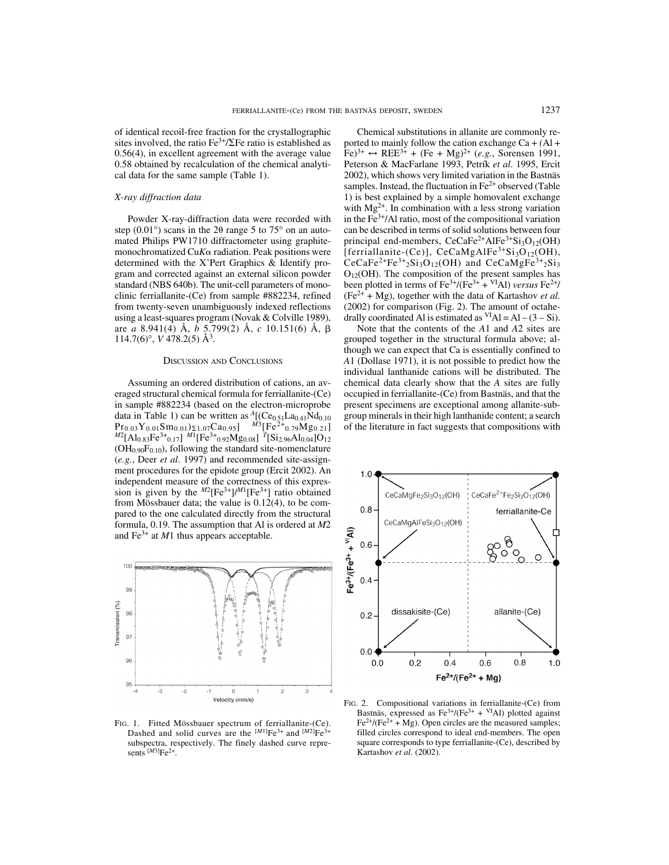of identical recoil-free fraction for the crystallographic sites involved, the ratio  $Fe^{3+}/\Sigma Fe$  ratio is established as 0.56(4), in excellent agreement with the average value 0.58 obtained by recalculation of the chemical analytical data for the same sample (Table 1).

# *X-ray diffraction data*

Powder X-ray-diffraction data were recorded with step  $(0.01^{\circ})$  scans in the 2 $\theta$  range 5 to 75° on an automated Philips PW1710 diffractometer using graphitemonochromatized Cu $K\alpha$  radiation. Peak positions were determined with the X'Pert Graphics & Identify program and corrected against an external silicon powder standard (NBS 640b). The unit-cell parameters of monoclinic ferriallanite-(Ce) from sample #882234, refined from twenty-seven unambiguously indexed reflections using a least-squares program (Novak & Colville 1989), are *a* 8.941(4) Å, *b* 5.799(2) Å, *c* 10.151(6) Å, 114.7(6)°, *V* 478.2(5) Å<sup>3</sup> .

## DISCUSSION AND CONCLUSIONS

Assuming an ordered distribution of cations, an averaged structural chemical formula for ferriallanite-(Ce) in sample #882234 (based on the electron-microprobe data in Table 1) can be written as  $A[(Ce_{0.51}La_{0.41}Nd_{0.10}$  $\frac{\text{Pr}_{0.03}\text{Y}_{0.01}\text{Sm}_{0.01}\text{Y}_{21.07}\text{Ca}_{0.95}]}{\text{Me}_1\text{Al}_{0.83}\text{Fe}^{3+}}\text{o}_1\text{m}_1\text{M}^{1}\text{[Fe}^{3+}}\text{o}_2\text{M}_{20.08}\text{g}_1\text{m}_1\text{Si}_2\text{g}_6\text{Al}_{0.04}\text{O}_{12}}$  $(OH<sub>0.90</sub>F<sub>0.10</sub>)$ , following the standard site-nomenclature (*e.g.*, Deer *et al*. 1997) and recommended site-assignment procedures for the epidote group (Ercit 2002). An independent measure of the correctness of this expression is given by the  $^{M2}$ [Fe<sup>3+</sup>]/<sup>M1</sup>[Fe<sup>3+</sup>] ratio obtained from Mössbauer data; the value is 0.12(4), to be compared to the one calculated directly from the structural formula, 0.19. The assumption that Al is ordered at *M*2 and Fe<sup>3+</sup> at *M*1 thus appears acceptable.



FIG. 1. Fitted Mössbauer spectrum of ferriallanite-(Ce). Dashed and solid curves are the  $^{[M1]}Fe^{3+}$  and  $^{[M2]}Fe^{3+}$ subspectra, respectively. The finely dashed curve represents  $^{[M3]}Fe^{2+}$ .

Chemical substitutions in allanite are commonly reported to mainly follow the cation exchange Ca + *(*Al +  $[Fe]^{3+} \leftrightarrow REE^{3+} + (Fe + Mg)^{2+} (e.g., Sorensen 1991,$ Peterson & MacFarlane 1993, Petrík *et al*. 1995, Ercit 2002), which shows very limited variation in the Bastnäs samples. Instead, the fluctuation in  $Fe<sup>2+</sup>$  observed (Table 1) is best explained by a simple homovalent exchange with  $Mg^{2+}$ . In combination with a less strong variation in the  $Fe<sup>3+</sup>/Al$  ratio, most of the compositional variation can be described in terms of solid solutions between four principal end-members,  $CeCaFe^{2+}AlFe^{3+}Si<sub>3</sub>O<sub>12</sub>(OH)$ [ferriallanite-(Ce)],  $CeCaMgAlFe<sup>3+</sup>Si<sub>3</sub>O<sub>12</sub>(OH)$ , CeCaFe<sup>2+</sup>Fe<sup>3+</sup><sub>2</sub>Si<sub>3</sub>O<sub>12</sub>(OH) and CeCaMgFe<sup>3+</sup><sub>2</sub>Si<sub>3</sub>  $O<sub>12</sub>(OH)$ . The composition of the present samples has been plotted in terms of  $\text{Fe}^{3+}/(\text{Fe}^{3+} + {}^{VI}\text{Al})$  *versus*  $\text{Fe}^{2+}/$  $(Fe<sup>2+</sup> + Mg)$ , together with the data of Kartashov *et al.* (2002) for comparison (Fig. 2). The amount of octahedrally coordinated Al is estimated as  $VIAI = AI - (3 - Si)$ .

Note that the contents of the *A*1 and *A*2 sites are grouped together in the structural formula above; although we can expect that Ca is essentially confined to *A*1 (Dollase 1971), it is not possible to predict how the individual lanthanide cations will be distributed. The chemical data clearly show that the *A* sites are fully occupied in ferriallanite-(Ce) from Bastnäs, and that the present specimens are exceptional among allanite-subgroup minerals in their high lanthanide content; a search of the literature in fact suggests that compositions with



FIG. 2. Compositional variations in ferriallanite-(Ce) from Bastnäs, expressed as  $Fe^{3+}/(Fe^{3+} + {}^{VI}Al)$  plotted against  $Fe<sup>2+</sup>/(Fe<sup>2+</sup> + Mg)$ . Open circles are the measured samples; filled circles correspond to ideal end-members. The open square corresponds to type ferriallanite-(Ce), described by Kartashov *et al*. (2002).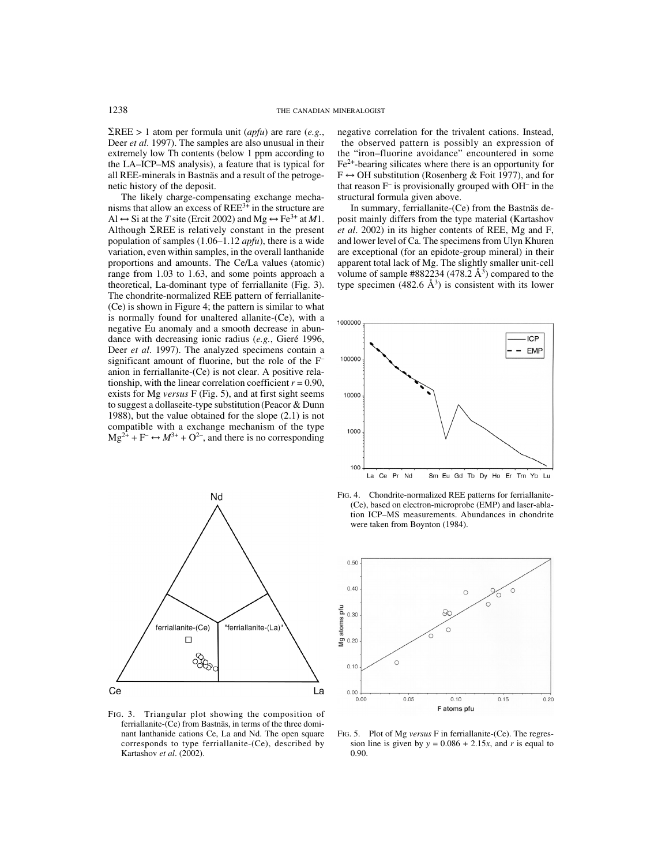$\Sigma$ REE > 1 atom per formula unit (*apfu*) are rare (*e.g.*, Deer *et al*. 1997). The samples are also unusual in their extremely low Th contents (below 1 ppm according to the LA–ICP–MS analysis), a feature that is typical for all REE-minerals in Bastnäs and a result of the petrogenetic history of the deposit.

The likely charge-compensating exchange mechanisms that allow an excess of  $REE^{3+}$  in the structure are Al  $\leftrightarrow$  Si at the *T* site (Ercit 2002) and Mg  $\leftrightarrow$  Fe<sup>3+</sup> at *M*1. Although  $\Sigma$ REE is relatively constant in the present population of samples (1.06–1.12 *apfu*), there is a wide variation, even within samples, in the overall lanthanide proportions and amounts. The Ce/La values (atomic) range from 1.03 to 1.63, and some points approach a theoretical, La-dominant type of ferriallanite (Fig. 3). The chondrite-normalized REE pattern of ferriallanite- (Ce) is shown in Figure 4; the pattern is similar to what is normally found for unaltered allanite-(Ce), with a negative Eu anomaly and a smooth decrease in abundance with decreasing ionic radius (*e.g.*, Gieré 1996, Deer *et al*. 1997). The analyzed specimens contain a significant amount of fluorine, but the role of the F– anion in ferriallanite-(Ce) is not clear. A positive relationship, with the linear correlation coefficient  $r = 0.90$ , exists for Mg *versus* F (Fig. 5), and at first sight seems to suggest a dollaseite-type substitution (Peacor & Dunn 1988), but the value obtained for the slope (2.1) is not compatible with a exchange mechanism of the type  $Mg^{2+} + F^- \leftrightarrow M^{3+} + O^{2-}$ , and there is no corresponding



FIG. 3. Triangular plot showing the composition of ferriallanite-(Ce) from Bastnäs, in terms of the three dominant lanthanide cations Ce, La and Nd. The open square corresponds to type ferriallanite-(Ce), described by Kartashov *et al*. (2002).

negative correlation for the trivalent cations. Instead,

 the observed pattern is possibly an expression of the "iron–fluorine avoidance" encountered in some  $Fe<sup>2+</sup>$ -bearing silicates where there is an opportunity for  $F \leftrightarrow OH$  substitution (Rosenberg & Foit 1977), and for that reason F– is provisionally grouped with OH– in the structural formula given above.

In summary, ferriallanite-(Ce) from the Bastnäs deposit mainly differs from the type material (Kartashov *et al*. 2002) in its higher contents of REE, Mg and F, and lower level of Ca. The specimens from Ulyn Khuren are exceptional (for an epidote-group mineral) in their apparent total lack of Mg. The slightly smaller unit-cell volume of sample #882234 (478.2  $\AA$ <sup>3</sup>) compared to the type specimen  $(482.6 \text{ Å}^3)$  is consistent with its lower



FIG. 4. Chondrite-normalized REE patterns for ferriallanite- (Ce), based on electron-microprobe (EMP) and laser-ablation ICP–MS measurements. Abundances in chondrite were taken from Boynton (1984).



FIG. 5. Plot of Mg *versus* F in ferriallanite-(Ce). The regression line is given by  $y = 0.086 + 2.15x$ , and *r* is equal to 0.90.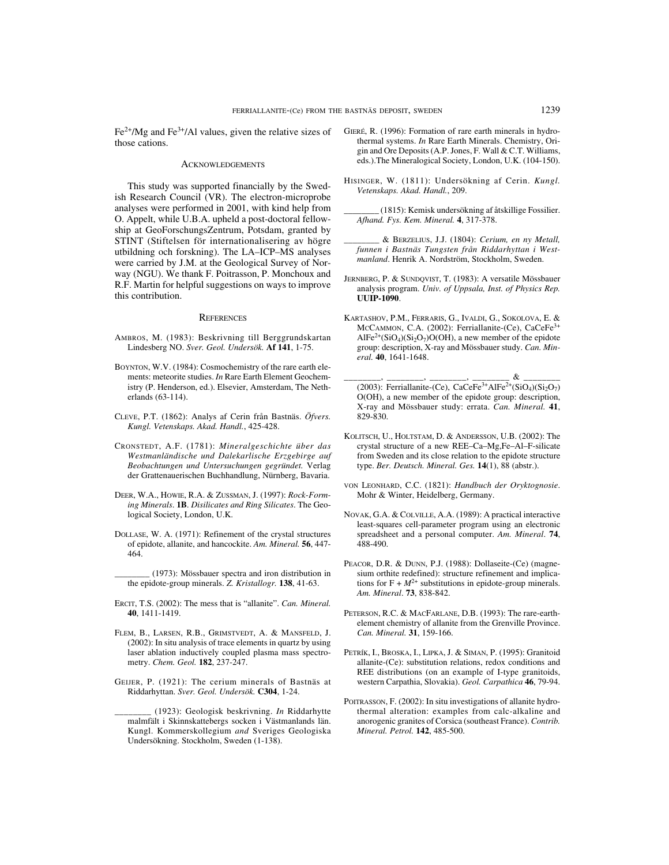$Fe<sup>2+</sup>/Mg$  and  $Fe<sup>3+</sup>/Al$  values, given the relative sizes of those cations.

## **ACKNOWLEDGEMENTS**

This study was supported financially by the Swedish Research Council (VR). The electron-microprobe analyses were performed in 2001, with kind help from O. Appelt, while U.B.A. upheld a post-doctoral fellowship at GeoForschungsZentrum, Potsdam, granted by STINT (Stiftelsen för internationalisering av högre utbildning och forskning). The LA–ICP–MS analyses were carried by J.M. at the Geological Survey of Norway (NGU). We thank F. Poitrasson, P. Monchoux and R.F. Martin for helpful suggestions on ways to improve this contribution.

#### **REFERENCES**

- AMBROS, M. (1983): Beskrivning till Berggrundskartan Lindesberg NO. *Sver. Geol. Undersök.* **Af 141**, 1-75.
- BOYNTON, W.V. (1984): Cosmochemistry of the rare earth elements: meteorite studies. *In* Rare Earth Element Geochemistry (P. Henderson, ed.). Elsevier, Amsterdam, The Netherlands (63-114).
- CLEVE, P.T. (1862): Analys af Cerin från Bastnäs. *Öfvers. Kungl. Vetenskaps. Akad. Handl.*, 425-428.
- CRONSTEDT, A.F. (1781): *Mineralgeschichte über das Westmanländische und Dalekarlische Erzgebirge auf Beobachtungen und Untersuchungen gegründet.* Verlag der Grattenauerischen Buchhandlung, Nürnberg, Bavaria.
- DEER, W.A., HOWIE, R.A. & ZUSSMAN, J. (1997): *Rock-Forming Minerals*. **1B**. *Disilicates and Ring Silicates*. The Geological Society, London, U.K.
- DOLLASE, W. A. (1971): Refinement of the crystal structures of epidote, allanite, and hancockite. *Am. Mineral.* **56**, 447- 464.
	- \_\_\_\_\_\_\_\_ (1973): Mössbauer spectra and iron distribution in the epidote-group minerals. *Z. Kristallogr.* **138**, 41-63.
- ERCIT, T.S. (2002): The mess that is "allanite". *Can. Mineral.* **40**, 1411-1419.
- FLEM, B., LARSEN, R.B., GRIMSTVEDT, A. & MANSFELD, J. (2002): In situ analysis of trace elements in quartz by using laser ablation inductively coupled plasma mass spectrometry. *Chem. Geol.* **182**, 237-247.
- GEIJER, P. (1921): The cerium minerals of Bastnäs at Riddarhyttan. *Sver. Geol. Undersök.* **C304**, 1-24.
- \_\_\_\_\_\_\_\_ (1923): Geologisk beskrivning. *In* Riddarhytte malmfält i Skinnskattebergs socken i Västmanlands län. Kungl. Kommerskollegium *and* Sveriges Geologiska Undersökning. Stockholm, Sweden (1-138).
- GIERÉ, R. (1996): Formation of rare earth minerals in hydrothermal systems. *In* Rare Earth Minerals. Chemistry, Origin and Ore Deposits (A.P. Jones, F. Wall & C.T. Williams, eds.).The Mineralogical Society, London, U.K. (104-150).
- HISINGER, W. (1811): Undersökning af Cerin. *Kungl. Vetenskaps. Akad. Handl.*, 209.
	- \_\_\_\_\_\_\_\_ (1815): Kemisk undersökning af åtskillige Fossilier. *Afhand. Fys. Kem. Mineral.* **4**, 317-378.
- \_\_\_\_\_\_\_\_ & BERZELIUS, J.J. (1804): *Cerium, en ny Metall, funnen i Bastnäs Tungsten från Riddarhyttan i Westmanland*. Henrik A. Nordström, Stockholm, Sweden.
- JERNBERG, P. & SUNDQVIST, T. (1983): A versatile Mössbauer analysis program. *Univ. of Uppsala, Inst. of Physics Rep.* **UUIP-1090**.
- KARTASHOV, P.M., FERRARIS, G., IVALDI, G., SOKOLOVA, E. & McCAMMON, C.A. (2002): Ferriallanite-(Ce), CaCeFe<sup>3+</sup>  $AIFe^{2+}(SiO<sub>4</sub>)(Si<sub>2</sub>O<sub>7</sub>)O(OH)$ , a new member of the epidote group: description, X-ray and Mössbauer study. *Can. Mineral.* **40**, 1641-1648.
- \_\_\_\_\_\_\_\_, \_\_\_\_\_\_\_\_, \_\_\_\_\_\_\_\_, \_\_\_\_\_\_\_\_ & \_\_\_\_\_\_\_\_ (2003): Ferriallanite-(Ce), CaCeFe<sup>3+</sup>AlFe<sup>2+</sup>(SiO<sub>4</sub>)(Si<sub>2</sub>O<sub>7</sub>) O(OH), a new member of the epidote group: description, X-ray and Mössbauer study: errata. *Can. Mineral.* **41**, 829-830.
- KOLITSCH, U., HOLTSTAM, D. & ANDERSSON, U.B. (2002): The crystal structure of a new REE–Ca–Mg,Fe–Al–F-silicate from Sweden and its close relation to the epidote structure type. *Ber. Deutsch. Mineral. Ges.* **14**(1), 88 (abstr.).
- VON LEONHARD, C.C. (1821): *Handbuch der Oryktognosie*. Mohr & Winter, Heidelberg, Germany.
- NOVAK, G.A. & COLVILLE, A.A. (1989): A practical interactive least-squares cell-parameter program using an electronic spreadsheet and a personal computer. *Am. Mineral*. **74**, 488-490.
- PEACOR, D.R. & DUNN, P.J. (1988): Dollaseite-(Ce) (magnesium orthite redefined): structure refinement and implications for  $F + M^{2+}$  substitutions in epidote-group minerals. *Am. Mineral*. **73**, 838-842.
- PETERSON, R.C. & MACFARLANE, D.B. (1993): The rare-earthelement chemistry of allanite from the Grenville Province. *Can. Mineral.* **31**, 159-166.
- PETRÍK, I., BROSKA, I., LIPKA, J. & SIMAN, P. (1995): Granitoid allanite-(Ce): substitution relations, redox conditions and REE distributions (on an example of I-type granitoids, western Carpathia, Slovakia). *Geol. Carpathica* **46**, 79-94.
- POITRASSON, F. (2002): In situ investigations of allanite hydrothermal alteration: examples from calc-alkaline and anorogenic granites of Corsica (southeast France). *Contrib. Mineral. Petrol.* **142**, 485-500.